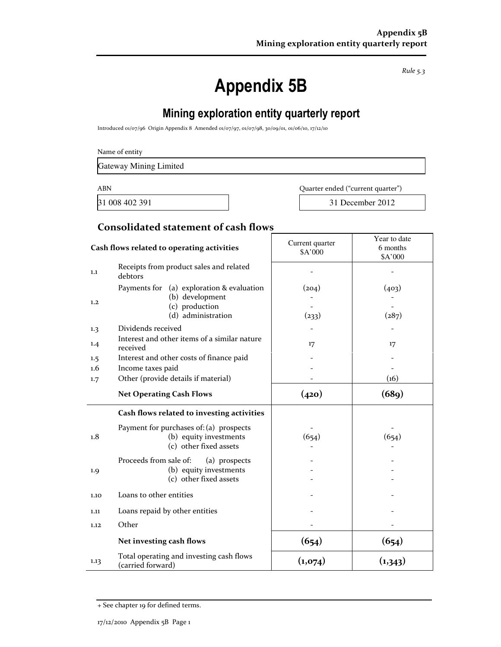Rule 5.3

# Appendix 5B

# Mining exploration entity quarterly report

Introduced 01/07/96 Origin Appendix 8 Amended 01/07/97, 01/07/98, 30/09/01, 01/06/10, 17/12/10

Gateway Mining Limited

ABN Quarter ended ("current quarter")

31 008 402 391 31 December 2012

Year to date

#### Consolidated statement of cash flows

|      | Cash flows related to operating activities                                                           | Current quarter<br>\$A'000 | cal iv uaw<br>6 months<br>\$A'000 |
|------|------------------------------------------------------------------------------------------------------|----------------------------|-----------------------------------|
| 1.1  | Receipts from product sales and related<br>debtors                                                   |                            |                                   |
| 1.2  | Payments for (a) exploration & evaluation<br>(b) development<br>(c) production<br>(d) administration | (204)<br>(233)             | (403)<br>(287)                    |
| 1.3  | Dividends received                                                                                   |                            |                                   |
| 1.4  | Interest and other items of a similar nature<br>received                                             | 17                         | 17                                |
| 1.5  | Interest and other costs of finance paid                                                             |                            |                                   |
| 1.6  | Income taxes paid                                                                                    |                            |                                   |
| 1.7  | Other (provide details if material)                                                                  |                            | (16)                              |
|      | <b>Net Operating Cash Flows</b>                                                                      | (420)                      | (689)                             |
|      |                                                                                                      |                            |                                   |
|      | Cash flows related to investing activities                                                           |                            |                                   |
| 1.8  | Payment for purchases of: (a) prospects<br>(b) equity investments<br>(c) other fixed assets          | (654)                      | (654)                             |
| 1.9  | Proceeds from sale of:<br>(a) prospects<br>(b) equity investments<br>(c) other fixed assets          |                            |                                   |
| 1.10 | Loans to other entities                                                                              |                            |                                   |
| 1.11 | Loans repaid by other entities                                                                       |                            |                                   |
| 1.12 | Other                                                                                                |                            |                                   |
|      | Net investing cash flows                                                                             | (654)                      | (654)                             |

<sup>+</sup> See chapter 19 for defined terms.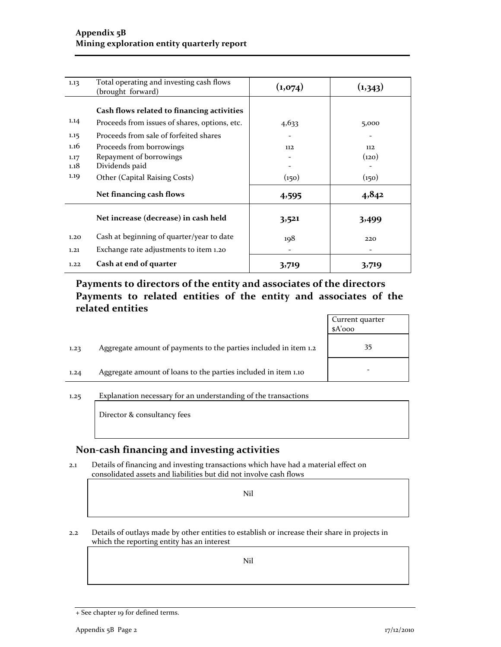| 1.13 | Total operating and investing cash flows<br>(brought forward) | (1,074) | (1,343) |
|------|---------------------------------------------------------------|---------|---------|
|      | Cash flows related to financing activities                    |         |         |
| 1.14 | Proceeds from issues of shares, options, etc.                 | 4,633   | 5,000   |
| 1.15 | Proceeds from sale of forfeited shares                        |         |         |
| 1.16 | Proceeds from borrowings                                      | 112     | 112     |
| 1.17 | Repayment of borrowings                                       |         | (120)   |
| 1.18 | Dividends paid                                                |         |         |
| 1.19 | Other (Capital Raising Costs)                                 | (150)   | (150)   |
|      | Net financing cash flows                                      | 4,595   | 4,842   |
|      | Net increase (decrease) in cash held                          | 3,521   | 3,499   |
| 1.20 | Cash at beginning of quarter/year to date                     | 198     | 220     |
| 1.21 | Exchange rate adjustments to item 1.20                        |         |         |
| 1.22 | Cash at end of quarter                                        | 3,719   | 3,719   |

## Payments to directors of the entity and associates of the directors Payments to related entities of the entity and associates of the related entities

|      |                                                                  | Current quarter<br>$A'$ ooo |
|------|------------------------------------------------------------------|-----------------------------|
| 1.23 | Aggregate amount of payments to the parties included in item 1.2 | 35                          |
| 1,24 | Aggregate amount of loans to the parties included in item 1.10   | -                           |

1.25 Explanation necessary for an understanding of the transactions

Director & consultancy fees

#### Non-cash financing and investing activities

2.1 Details of financing and investing transactions which have had a material effect on consolidated assets and liabilities but did not involve cash flows

Nil

2.2 Details of outlays made by other entities to establish or increase their share in projects in which the reporting entity has an interest

Nil

<sup>+</sup> See chapter 19 for defined terms.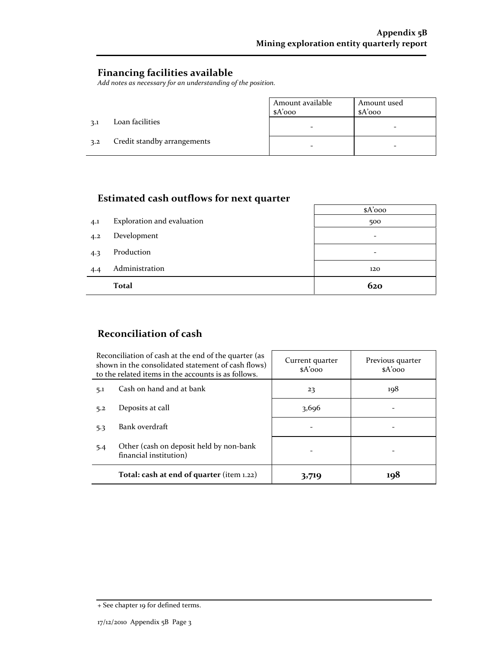#### Financing facilities available

Add notes as necessary for an understanding of the position.

|     |                             | Amount available<br>\$A'ooo | Amount used<br>$A'$ 000 |
|-----|-----------------------------|-----------------------------|-------------------------|
| 3.1 | Loan facilities             |                             |                         |
| 3.2 | Credit standby arrangements |                             |                         |

## Estimated cash outflows for next quarter

|     | nommated caon outnows for nent quarter |          |
|-----|----------------------------------------|----------|
|     |                                        | $A'$ ooo |
| 4.1 | Exploration and evaluation             | 500      |
| 4.2 | Development                            |          |
| 4.3 | Production                             |          |
| 4.4 | Administration                         | 120      |
|     | <b>Total</b>                           | 620      |

### Reconciliation of cash

| Reconciliation of cash at the end of the quarter (as<br>shown in the consolidated statement of cash flows)<br>to the related items in the accounts is as follows. |                                           | Current quarter<br>$A'$ 000 | Previous quarter<br>$A'$ 000 |
|-------------------------------------------------------------------------------------------------------------------------------------------------------------------|-------------------------------------------|-----------------------------|------------------------------|
| Cash on hand and at bank<br>5.1                                                                                                                                   |                                           | 23                          | 198                          |
| Deposits at call<br>5.2                                                                                                                                           |                                           | 3,696                       |                              |
| Bank overdraft<br>5.3                                                                                                                                             |                                           |                             |                              |
| 5.4<br>financial institution)                                                                                                                                     | Other (cash on deposit held by non-bank   |                             |                              |
|                                                                                                                                                                   | Total: cash at end of quarter (item 1.22) | 3,719                       | 198                          |

<sup>+</sup> See chapter 19 for defined terms.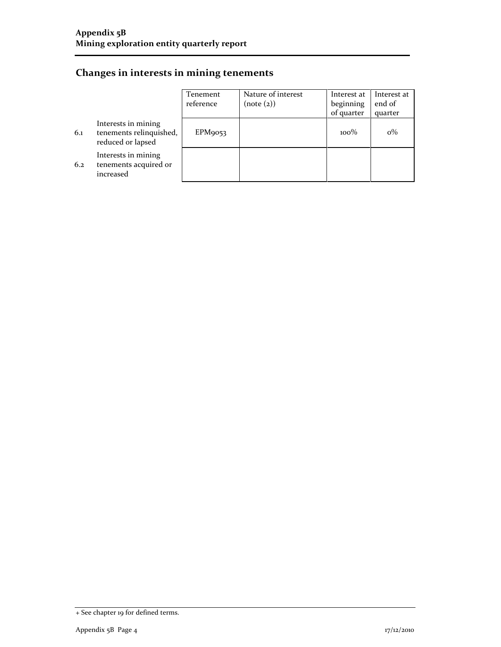## Changes in interests in mining tenements

|     |                                                                     | Tenement  | Nature of interest | Interest at | Interest at |
|-----|---------------------------------------------------------------------|-----------|--------------------|-------------|-------------|
|     |                                                                     | reference | (note (2))         | beginning   | end of      |
|     |                                                                     |           |                    | of quarter  | quarter     |
| 6.1 | Interests in mining<br>tenements relinquished,<br>reduced or lapsed | EPM9053   |                    | $100\%$     | $0\%$       |
| 6.2 | Interests in mining<br>tenements acquired or<br>increased           |           |                    |             |             |

<sup>+</sup> See chapter 19 for defined terms.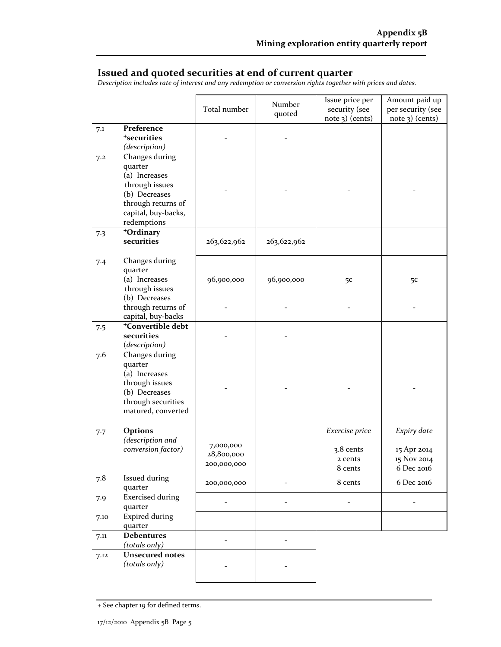#### Issued and quoted securities at end of current quarter

Description includes rate of interest and any redemption or conversion rights together with prices and dates.

|      |                                                                                                                                           | Total number                           | Number<br>quoted | Issue price per<br>security (see<br>$note$ 3) (cents) | Amount paid up<br>per security (see<br>$note$ 3) (cents) |
|------|-------------------------------------------------------------------------------------------------------------------------------------------|----------------------------------------|------------------|-------------------------------------------------------|----------------------------------------------------------|
| 7.1  | Preference<br><i><b>*securities</b></i><br>(description)                                                                                  |                                        |                  |                                                       |                                                          |
| 7.2  | Changes during<br>quarter<br>(a) Increases<br>through issues<br>(b) Decreases<br>through returns of<br>capital, buy-backs,<br>redemptions |                                        |                  |                                                       |                                                          |
| 7.3  | +Ordinary<br>securities                                                                                                                   | 263,622,962                            | 263,622,962      |                                                       |                                                          |
| 7.4  | Changes during<br>quarter<br>(a) Increases<br>through issues<br>(b) Decreases                                                             | 96,900,000                             | 96,900,000       | 5C                                                    | 5 <sup>c</sup>                                           |
|      | through returns of<br>capital, buy-backs                                                                                                  |                                        |                  |                                                       |                                                          |
| 7.5  | <sup>+</sup> Convertible debt<br>securities<br>(description)                                                                              |                                        |                  |                                                       |                                                          |
| 7.6  | Changes during<br>quarter<br>(a) Increases<br>through issues<br>(b) Decreases<br>through securities<br>matured, converted                 |                                        |                  |                                                       |                                                          |
| 7.7  | Options<br>(description and<br>conversion factor)                                                                                         | 7,000,000<br>28,800,000<br>200,000,000 |                  | Exercise price<br>3.8 cents<br>2 cents<br>8 cents     | Expiry date<br>15 Apr 2014<br>15 Nov 2014<br>6 Dec 2016  |
| 7.8  | Issued during<br>quarter                                                                                                                  | 200,000,000                            |                  | 8 cents                                               | 6 Dec 2016                                               |
| 7.9  | <b>Exercised during</b><br>quarter                                                                                                        |                                        |                  |                                                       |                                                          |
| 7.10 | <b>Expired during</b><br>quarter                                                                                                          |                                        |                  |                                                       |                                                          |
| 7.11 | <b>Debentures</b><br>(totals only)                                                                                                        |                                        |                  |                                                       |                                                          |
| 7.12 | <b>Unsecured notes</b><br>(totals only)                                                                                                   |                                        |                  |                                                       |                                                          |

+ See chapter 19 for defined terms.